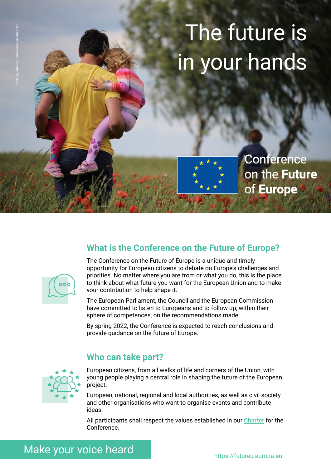# The future is in your hands



**Conference** on the Future of Europe



Photo by Juliane Liebermann on Unsplash

# **What is the Conference on the Future of Europe?**

The Conference on the Future of Europe is a unique and timely opportunity for European citizens to debate on Europe's challenges and priorities. No matter where you are from or what you do, this is the place to think about what future you want for the European Union and to make your contribution to help shape it.

The European Parliament, the Council and the European Commission have committed to listen to Europeans and to follow up, within their sphere of competences, on the recommendations made.

By spring 2022, the Conference is expected to reach conclusions and provide guidance on the future of Europe.

#### **Who can take part?**



European citizens, from all walks of life and corners of the Union, with young people playing a central role in shaping the future of the European project.

European, national, regional and local authorities, as well as civil society and other organisations who want to organise events and contribute ideas.

All participants shall respect the values established in our [Charter](https://futureu.europa.eu/pages/charter) for the Conference.

# Make your voice heard <https://futureu.europa.eu>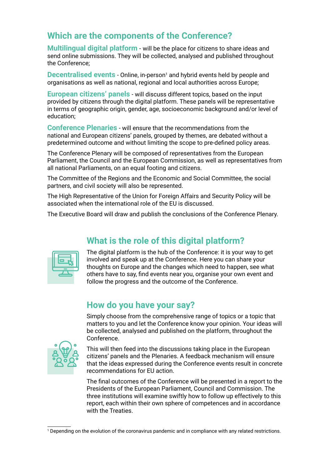## **Which are the components of the Conference?**

**Multilingual digital platform** - will be the place for citizens to share ideas and send online submissions. They will be collected, analysed and published throughout the Conference;

Decentralised events - Online, in-person<sup>1</sup> and hybrid events held by people and organisations as well as national, regional and local authorities across Europe;

**European citizens' panels** - will discuss different topics, based on the input provided by citizens through the digital platform. These panels will be representative in terms of geographic origin, gender, age, socioeconomic background and/or level of education;

**Conference Plenaries** - will ensure that the recommendations from the national and European citizens' panels, grouped by themes, are debated without a predetermined outcome and without limiting the scope to pre-defined policy areas.

The Conference Plenary will be composed of representatives from the European Parliament, the Council and the European Commission, as well as representatives from all national Parliaments, on an equal footing and citizens.

The Committee of the Regions and the Economic and Social Committee, the social partners, and civil society will also be represented.

The High Representative of the Union for Foreign Affairs and Security Policy will be associated when the international role of the EU is discussed.

The Executive Board will draw and publish the conclusions of the Conference Plenary.

# **What is the role of this digital platform?**



The digital platform is the hub of the Conference: it is your way to get involved and speak up at the Conference. Here you can share your thoughts on Europe and the changes which need to happen, see what others have to say, find events near you, organise your own event and follow the progress and the outcome of the Conference.

### **How do you have your say?**

Simply choose from the comprehensive range of topics or a topic that matters to you and let the Conference know your opinion. Your ideas will be collected, analysed and published on the platform, throughout the Conference.



This will then feed into the discussions taking place in the European citizens' panels and the Plenaries. A feedback mechanism will ensure that the ideas expressed during the Conference events result in concrete recommendations for EU action.

The final outcomes of the Conference will be presented in a report to the Presidents of the European Parliament, Council and Commission. The three institutions will examine swiftly how to follow up effectively to this report, each within their own sphere of competences and in accordance with the Treaties.

<sup>1</sup> Depending on the evolution of the coronavirus pandemic and in compliance with any related restrictions.